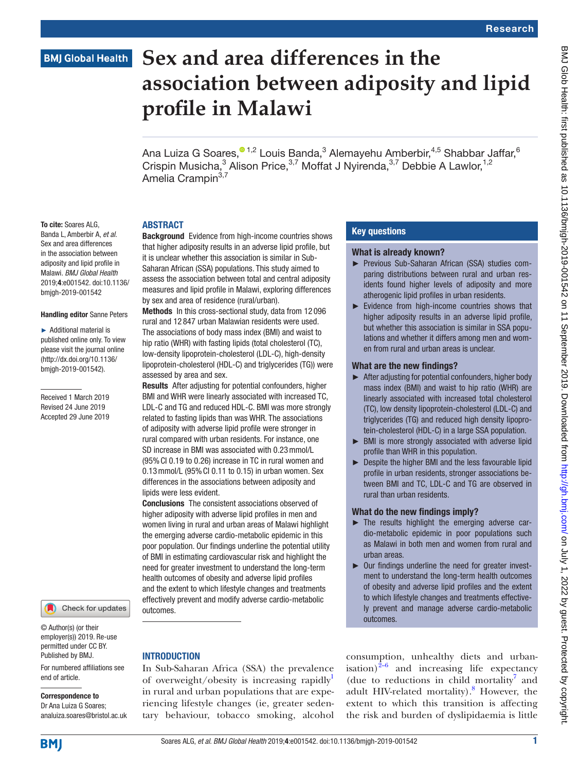To cite: Soares ALG, Banda L, Amberbir A, *et al*. Sex and area differences in the association between adiposity and lipid profile in Malawi. *BMJ Global Health* 2019;4:e001542. doi:10.1136/ bmjgh-2019-001542

Handling editor Sanne Peters ► Additional material is published online only. To view please visit the journal online ([http://dx.doi.org/10.1136/](http://dx.doi.org/10.1136/bmjgh-2019-001542) [bmjgh-2019-001542\)](http://dx.doi.org/10.1136/bmjgh-2019-001542).

Received 1 March 2019 Revised 24 June 2019 Accepted 29 June 2019

# **Sex and area differences in the association between adiposity and lipid profile in Malawi**

Ana Luiza G Soares[,](http://orcid.org/0000-0003-2763-4647) $^{\circ}$  1,2 Louis Banda, $^3$  Alemayehu Amberbir, $^{4,5}$  Shabbar Jaffar, $^6$ Crispin Musicha,<sup>3</sup> Alison Price,<sup>3,7</sup> Moffat J Nyirenda,<sup>3,7</sup> Debbie A Lawlor,<sup>1,2</sup> Amelia Crampin<sup>3,7</sup> **ABSTRACT** Background Evidence from high-income countries shows that higher adiposity results in an adverse lipid profile, but it is unclear whether this association is similar in Sub-Saharan African (SSA) populations. This study aimed to assess the association between total and central adiposity measures and lipid profile in Malawi, exploring differences by sex and area of residence (rural/urban). Methods In this cross-sectional study, data from 12 096 rural and 12 847 urban Malawian residents were used. The associations of body mass index (BMI) and waist to hip ratio (WHR) with fasting lipids (total cholesterol (TC),

low-density lipoprotein-cholesterol (LDL-C), high-density lipoprotein-cholesterol (HDL-C) and triglycerides (TG)) were assessed by area and sex.

Results After adjusting for potential confounders, higher BMI and WHR were linearly associated with increased TC, LDL-C and TG and reduced HDL-C. BMI was more strongly related to fasting lipids than was WHR. The associations of adiposity with adverse lipid profile were stronger in rural compared with urban residents. For instance, one SD increase in BMI was associated with 0.23mmol/L (95%CI 0.19 to 0.26) increase in TC in rural women and 0.13mmol/L (95%CI 0.11 to 0.15) in urban women. Sex differences in the associations between adiposity and lipids were less evident.

Conclusions The consistent associations observed of higher adiposity with adverse lipid profiles in men and women living in rural and urban areas of Malawi highlight the emerging adverse cardio-metabolic epidemic in this poor population. Our findings underline the potential utility of BMI in estimating cardiovascular risk and highlight the need for greater investment to understand the long-term health outcomes of obesity and adverse lipid profiles and the extent to which lifestyle changes and treatments effectively prevent and modify adverse cardio-metabolic outcomes.

# **INTRODUCTION**

In Sub-Saharan Africa (SSA) the prevalence of overweight/obesity is increasing rapidly in rural and urban populations that are experiencing lifestyle changes (ie, greater sedentary behaviour, tobacco smoking, alcohol

# Key questions

#### What is already known?

- ► Previous Sub-Saharan African (SSA) studies comparing distributions between rural and urban residents found higher levels of adiposity and more atherogenic lipid profiles in urban residents.
- ► Evidence from high-income countries shows that higher adiposity results in an adverse lipid profile, but whether this association is similar in SSA populations and whether it differs among men and women from rural and urban areas is unclear.

#### What are the new findings?

- ► After adjusting for potential confounders, higher body mass index (BMI) and waist to hip ratio (WHR) are linearly associated with increased total cholesterol (TC), low density lipoprotein-cholesterol (LDL-C) and triglycerides (TG) and reduced high density lipoprotein-cholesterol (HDL-C) in a large SSA population.
- ► BMI is more strongly associated with adverse lipid profile than WHR in this population.
- ► Despite the higher BMI and the less favourable lipid profile in urban residents, stronger associations between BMI and TC, LDL-C and TG are observed in rural than urban residents.

# What do the new findings imply?

- ► The results highlight the emerging adverse cardio-metabolic epidemic in poor populations such as Malawi in both men and women from rural and urban areas.
- ► Our findings underline the need for greater investment to understand the long-term health outcomes of obesity and adverse lipid profiles and the extent to which lifestyle changes and treatments effectively prevent and manage adverse cardio-metabolic outcomes.

consumption, unhealthy diets and urbanisation) $2^{-6}$  and increasing life expectancy (due to reductions in child mortality<sup>7</sup> and adult HIV-related mortality).<sup>8</sup> However, the extent to which this transition is affecting the risk and burden of dyslipidaemia is little

# end of article.

© Author(s) (or their employer(s)) 2019. Re-use permitted under CC BY. Published by BMJ.

Correspondence to Dr Ana Luiza G Soares; analuiza.soares@bristol.ac.uk

For numbered affiliations see

Check for updates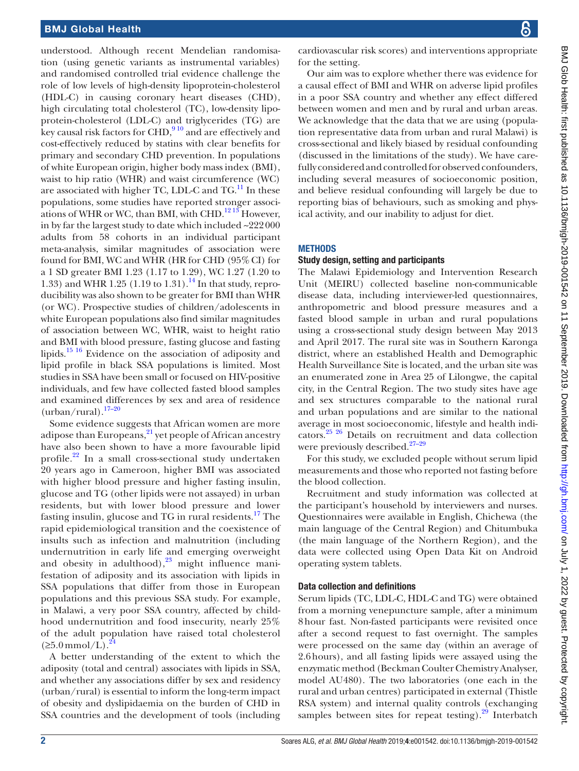understood. Although recent Mendelian randomisation (using genetic variants as instrumental variables) and randomised controlled trial evidence challenge the role of low levels of high-density lipoprotein-cholesterol (HDL-C) in causing coronary heart diseases (CHD), high circulating total cholesterol (TC), low-density lipoprotein-cholesterol (LDL-C) and triglycerides (TG) are key causal risk factors for  $CHD<sub>10</sub><sup>910</sup>$  and are effectively and cost-effectively reduced by statins with clear benefits for primary and secondary CHD prevention. In populations of white European origin, higher body mass index (BMI), waist to hip ratio (WHR) and waist circumference (WC) are associated with higher TC, LDL-C and  $TG<sup>11</sup>$  In these populations, some studies have reported stronger associations of WHR or WC, than BMI, with CHD.<sup>1213</sup> However, in by far the largest study to date which included ~222000 adults from 58 cohorts in an individual participant meta-analysis, similar magnitudes of association were found for BMI, WC and WHR (HR for CHD (95%CI) for a 1 SD greater BMI 1.23 (1.17 to 1.29), WC 1.27 (1.20 to 1.33) and WHR 1.25 (1.19 to 1.31).<sup>14</sup> In that study, reproducibility was also shown to be greater for BMI than WHR (or WC). Prospective studies of children/adolescents in white European populations also find similar magnitudes of association between WC, WHR, waist to height ratio and BMI with blood pressure, fasting glucose and fasting lipids[.15 16](#page-9-8) Evidence on the association of adiposity and lipid profile in black SSA populations is limited. Most studies in SSA have been small or focused on HIV-positive individuals, and few have collected fasted blood samples and examined differences by sex and area of residence  $(urban/ rural).<sup>17-20</sup>$ 

Some evidence suggests that African women are more adipose than Europeans, $^{21}$  yet people of African ancestry have also been shown to have a more favourable lipid profile.[22](#page-9-11) In a small cross-sectional study undertaken 20 years ago in Cameroon, higher BMI was associated with higher blood pressure and higher fasting insulin, glucose and TG (other lipids were not assayed) in urban residents, but with lower blood pressure and lower fasting insulin, glucose and TG in rural residents.<sup>17</sup> The rapid epidemiological transition and the coexistence of insults such as infection and malnutrition (including undernutrition in early life and emerging overweight and obesity in adulthood), $^{23}$  $^{23}$  $^{23}$  might influence manifestation of adiposity and its association with lipids in SSA populations that differ from those in European populations and this previous SSA study. For example, in Malawi, a very poor SSA country, affected by childhood undernutrition and food insecurity, nearly 25% of the adult population have raised total cholesterol  $(\geq 5.0 \,\mathrm{mmol/L})$ .<sup>2</sup>

A better understanding of the extent to which the adiposity (total and central) associates with lipids in SSA, and whether any associations differ by sex and residency (urban/rural) is essential to inform the long-term impact of obesity and dyslipidaemia on the burden of CHD in SSA countries and the development of tools (including

cardiovascular risk scores) and interventions appropriate for the setting.

Our aim was to explore whether there was evidence for a causal effect of BMI and WHR on adverse lipid profiles in a poor SSA country and whether any effect differed between women and men and by rural and urban areas. We acknowledge that the data that we are using (population representative data from urban and rural Malawi) is cross-sectional and likely biased by residual confounding (discussed in the limitations of the study). We have carefully considered and controlled for observed confounders, including several measures of socioeconomic position, and believe residual confounding will largely be due to reporting bias of behaviours, such as smoking and physical activity, and our inability to adjust for diet.

### **METHODS**

### Study design, setting and participants

The Malawi Epidemiology and Intervention Research Unit (MEIRU) collected baseline non-communicable disease data, including interviewer-led questionnaires, anthropometric and blood pressure measures and a fasted blood sample in urban and rural populations using a cross-sectional study design between May 2013 and April 2017. The rural site was in Southern Karonga district, where an established Health and Demographic Health Surveillance Site is located, and the urban site was an enumerated zone in Area 25 of Lilongwe, the capital city, in the Central Region. The two study sites have age and sex structures comparable to the national rural and urban populations and are similar to the national average in most socioeconomic, lifestyle and health indicators[.25 26](#page-9-14) Details on recruitment and data collection were previously described.<sup>27-29</sup>

For this study, we excluded people without serum lipid measurements and those who reported not fasting before the blood collection.

Recruitment and study information was collected at the participant's household by interviewers and nurses. Questionnaires were available in English, Chichewa (the main language of the Central Region) and Chitumbuka (the main language of the Northern Region), and the data were collected using Open Data Kit on Android operating system tablets.

#### Data collection and definitions

Serum lipids (TC, LDL-C, HDL-C and TG) were obtained from a morning venepuncture sample, after a minimum 8hour fast. Non-fasted participants were revisited once after a second request to fast overnight. The samples were processed on the same day (within an average of 2.6hours), and all fasting lipids were assayed using the enzymatic method (Beckman Coulter Chemistry Analyser, model AU480). The two laboratories (one each in the rural and urban centres) participated in external (Thistle RSA system) and internal quality controls (exchanging samples between sites for repeat testing). $29$  Interbatch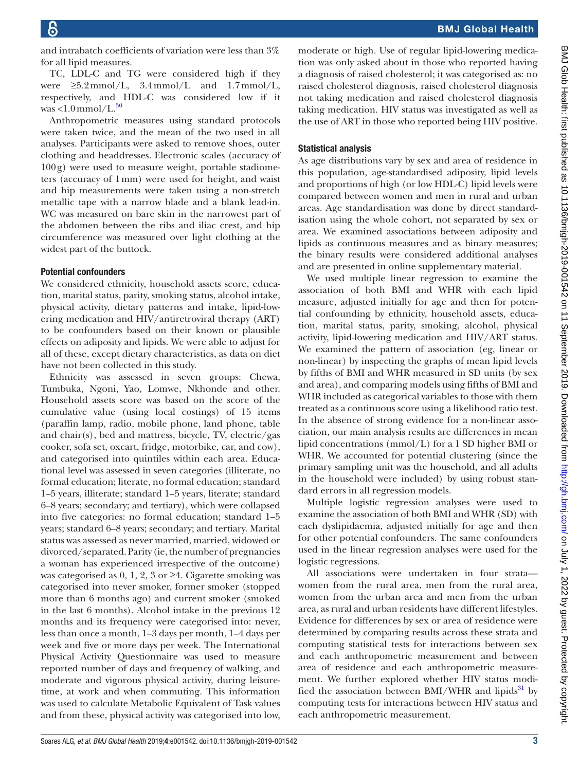and intrabatch coefficients of variation were less than 3% for all lipid measures.

TC, LDL-C and TG were considered high if they were  $\geq 5.2$  mmol/L,  $3.4$  mmol/L and  $1.7$  mmol/L, respectively, and HDL-C was considered low if it was  $<1.0$  mmol/L. $30$ 

Anthropometric measures using standard protocols were taken twice, and the mean of the two used in all analyses. Participants were asked to remove shoes, outer clothing and headdresses. Electronic scales (accuracy of 100g) were used to measure weight, portable stadiometers (accuracy of 1mm) were used for height, and waist and hip measurements were taken using a non-stretch metallic tape with a narrow blade and a blank lead-in. WC was measured on bare skin in the narrowest part of the abdomen between the ribs and iliac crest, and hip circumference was measured over light clothing at the widest part of the buttock.

### Potential confounders

We considered ethnicity, household assets score, education, marital status, parity, smoking status, alcohol intake, physical activity, dietary patterns and intake, lipid-lowering medication and HIV/antiretroviral therapy (ART) to be confounders based on their known or plausible effects on adiposity and lipids. We were able to adjust for all of these, except dietary characteristics, as data on diet have not been collected in this study.

Ethnicity was assessed in seven groups: Chewa, Tumbuka, Ngoni, Yao, Lomwe, Nkhonde and other. Household assets score was based on the score of the cumulative value (using local costings) of 15 items (paraffin lamp, radio, mobile phone, land phone, table and chair(s), bed and mattress, bicycle, TV, electric/gas cooker, sofa set, oxcart, fridge, motorbike, car, and cow), and categorised into quintiles within each area. Educational level was assessed in seven categories (illiterate, no formal education; literate, no formal education; standard 1–5 years, illiterate; standard 1–5 years, literate; standard 6–8 years; secondary; and tertiary), which were collapsed into five categories: no formal education; standard 1–5 years; standard 6–8 years; secondary; and tertiary. Marital status was assessed as never married, married, widowed or divorced/separated. Parity (ie, the number of pregnancies a woman has experienced irrespective of the outcome) was categorised as  $0, 1, 2, 3$  or  $\geq 4$ . Cigarette smoking was categorised into never smoker, former smoker (stopped more than 6 months ago) and current smoker (smoked in the last 6 months). Alcohol intake in the previous 12 months and its frequency were categorised into: never, less than once a month, 1–3 days per month, 1–4 days per week and five or more days per week. The International Physical Activity Questionnaire was used to measure reported number of days and frequency of walking, and moderate and vigorous physical activity, during leisuretime, at work and when commuting. This information was used to calculate Metabolic Equivalent of Task values and from these, physical activity was categorised into low,

moderate or high. Use of regular lipid-lowering medication was only asked about in those who reported having a diagnosis of raised cholesterol; it was categorised as: no raised cholesterol diagnosis, raised cholesterol diagnosis not taking medication and raised cholesterol diagnosis taking medication. HIV status was investigated as well as the use of ART in those who reported being HIV positive.

# Statistical analysis

As age distributions vary by sex and area of residence in this population, age-standardised adiposity, lipid levels and proportions of high (or low HDL-C) lipid levels were compared between women and men in rural and urban areas. Age standardisation was done by direct standardisation using the whole cohort, not separated by sex or area. We examined associations between adiposity and lipids as continuous measures and as binary measures; the binary results were considered additional analyses and are presented in online [supplementary material](https://dx.doi.org/10.1136/bmjgh-2019-001542).

We used multiple linear regression to examine the association of both BMI and WHR with each lipid measure, adjusted initially for age and then for potential confounding by ethnicity, household assets, education, marital status, parity, smoking, alcohol, physical activity, lipid-lowering medication and HIV/ART status. We examined the pattern of association (eg, linear or non-linear) by inspecting the graphs of mean lipid levels by fifths of BMI and WHR measured in SD units (by sex and area), and comparing models using fifths of BMI and WHR included as categorical variables to those with them treated as a continuous score using a likelihood ratio test. In the absence of strong evidence for a non-linear association, our main analysis results are differences in mean lipid concentrations (mmol/L) for a 1 SD higher BMI or WHR. We accounted for potential clustering (since the primary sampling unit was the household, and all adults in the household were included) by using robust standard errors in all regression models.

Multiple logistic regression analyses were used to examine the association of both BMI and WHR (SD) with each dyslipidaemia, adjusted initially for age and then for other potential confounders. The same confounders used in the linear regression analyses were used for the logistic regressions.

All associations were undertaken in four strata women from the rural area, men from the rural area, women from the urban area and men from the urban area, as rural and urban residents have different lifestyles. Evidence for differences by sex or area of residence were determined by comparing results across these strata and computing statistical tests for interactions between sex and each anthropometric measurement and between area of residence and each anthropometric measurement. We further explored whether HIV status modified the association between BMI/WHR and lipids $31$  by computing tests for interactions between HIV status and each anthropometric measurement.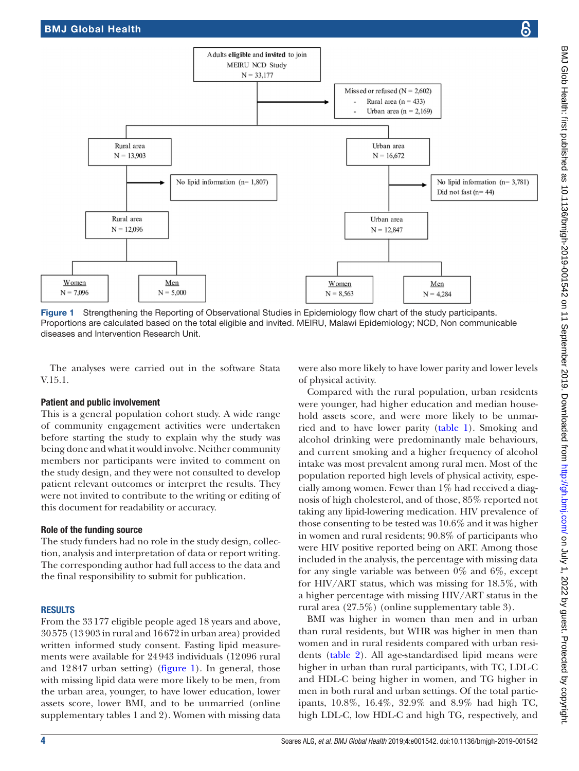Rural area

 $N = 13.903$ 

Rural area

 $N = 12,096$ 



<span id="page-3-0"></span>Figure 1 Strengthening the Reporting of Observational Studies in Epidemiology flow chart of the study participants. Proportions are calculated based on the total eligible and invited. MEIRU, Malawi Epidemiology; NCD, Non communicable diseases and Intervention Research Unit.

**MEIRU NCD Study**  $N = 33,177$ 

No lipid information  $(n=1,807)$ 

The analyses were carried out in the software Stata V.15.1.

Men

 $N = 5,000$ 

of physical activity.

# Patient and public involvement

Women

 $N = 7,096$ 

This is a general population cohort study. A wide range of community engagement activities were undertaken before starting the study to explain why the study was being done and what it would involve. Neither community members nor participants were invited to comment on the study design, and they were not consulted to develop patient relevant outcomes or interpret the results. They were not invited to contribute to the writing or editing of this document for readability or accuracy.

# Role of the funding source

The study funders had no role in the study design, collection, analysis and interpretation of data or report writing. The corresponding author had full access to the data and the final responsibility to submit for publication.

# **RESULTS**

From the 33177 eligible people aged 18 years and above, 30575 (13 903 in rural and 16672 in urban area) provided written informed study consent. Fasting lipid measurements were available for 24943 individuals (12096 rural and 12847 urban setting) ([figure](#page-3-0) 1). In general, those with missing lipid data were more likely to be men, from the urban area, younger, to have lower education, lower assets score, lower BMI, and to be unmarried [\(online](https://dx.doi.org/10.1136/bmjgh-2019-001542)  [supplementary tables 1 and 2\)](https://dx.doi.org/10.1136/bmjgh-2019-001542). Women with missing data

were younger, had higher education and median household assets score, and were more likely to be unmarried and to have lower parity ([table](#page-4-0) 1). Smoking and alcohol drinking were predominantly male behaviours, and current smoking and a higher frequency of alcohol intake was most prevalent among rural men. Most of the population reported high levels of physical activity, especially among women. Fewer than 1% had received a diagnosis of high cholesterol, and of those, 85% reported not taking any lipid-lowering medication. HIV prevalence of those consenting to be tested was 10.6% and it was higher in women and rural residents; 90.8% of participants who were HIV positive reported being on ART. Among those included in the analysis, the percentage with missing data for any single variable was between 0% and 6%, except for HIV/ART status, which was missing for 18.5%, with a higher percentage with missing HIV/ART status in the rural area (27.5%) [\(online supplementary table 3\)](https://dx.doi.org/10.1136/bmjgh-2019-001542).

BMI was higher in women than men and in urban than rural residents, but WHR was higher in men than women and in rural residents compared with urban residents ([table](#page-5-0) 2). All age-standardised lipid means were higher in urban than rural participants, with TC, LDL-C and HDL-C being higher in women, and TG higher in men in both rural and urban settings. Of the total participants, 10.8%, 16.4%, 32.9% and 8.9% had high TC, high LDL-C, low HDL-C and high TG, respectively, and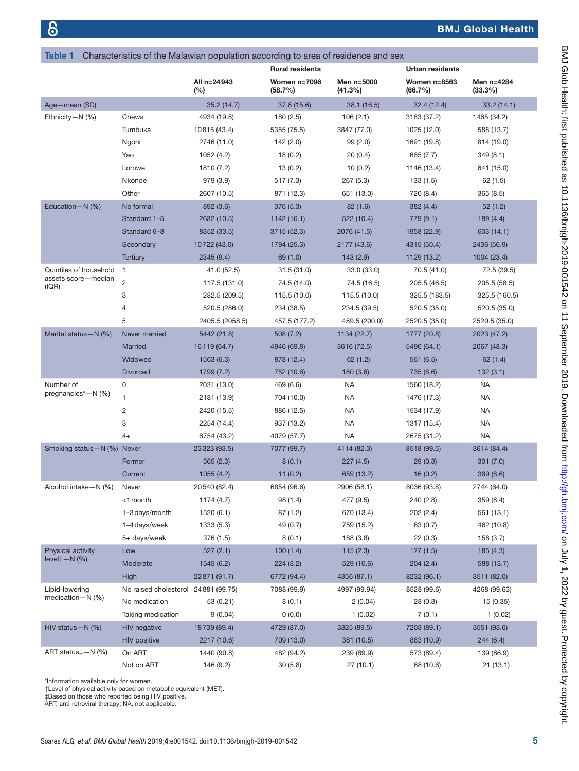<span id="page-4-0"></span>

| Characteristics of the Malawian population according to area of residence and sex<br>Table 1 |                                     |                    |                         |                       |                                |                          |  |  |
|----------------------------------------------------------------------------------------------|-------------------------------------|--------------------|-------------------------|-----------------------|--------------------------------|--------------------------|--|--|
|                                                                                              |                                     |                    | <b>Rural residents</b>  |                       | Urban residents                |                          |  |  |
|                                                                                              |                                     | All n=24943<br>(%) | Women n=7096<br>(58.7%) | Men n=5000<br>(41.3%) | <b>Women n=8563</b><br>(66.7%) | Men n=4284<br>$(33.3\%)$ |  |  |
| Age-mean (SD)                                                                                |                                     | 35.2 (14.7)        | 37.6 (15.6)             | 38.1 (16.5)           | 32.4(12.4)                     | 33.2(14.1)               |  |  |
| Ethnicity-N (%)                                                                              | Chewa                               | 4934 (19.8)        | 180 (2.5)               | 106(2.1)              | 3183 (37.2)                    | 1465 (34.2)              |  |  |
|                                                                                              | Tumbuka                             | 10815 (43.4)       | 5355 (75.5)             | 3847 (77.0)           | 1025 (12.0)                    | 588 (13.7)               |  |  |
|                                                                                              | Ngoni                               | 2746 (11.0)        | 142 (2.0)               | 99 (2.0)              | 1691 (19.8)                    | 814 (19.0)               |  |  |
|                                                                                              | Yao                                 | 1052 (4.2)         | 18(0.2)                 | 20(0.4)               | 665 (7.7)                      | 349 (8.1)                |  |  |
|                                                                                              | Lomwe                               | 1810 (7.2)         | 13(0.2)                 | 10(0.2)               | 1146 (13.4)                    | 641 (15.0)               |  |  |
|                                                                                              | Nkonde                              | 979 (3.9)          | 517(7.3)                | 267 (5.3)             | 133(1.5)                       | 62(1.5)                  |  |  |
|                                                                                              | Other                               | 2607 (10.5)        | 871 (12.3)              | 651 (13.0)            | 720 (8.4)                      | 365 (8.5)                |  |  |
| Education-N (%)                                                                              | No formal                           | 892 (3.6)          | 376(5.3)                | 82(1.6)               | 382 (4.4)                      | 52(1.2)                  |  |  |
|                                                                                              | Standard 1-5                        | 2632 (10.5)        | 1142 (16.1)             | 522 (10.4)            | 779 (9.1)                      | 189 (4.4)                |  |  |
|                                                                                              | Standard 6-8                        | 8352 (33.5)        | 3715 (52.3)             | 2076 (41.5)           | 1958 (22.9)                    | 603 (14.1)               |  |  |
|                                                                                              | Secondary                           | 10722 (43.0)       | 1794 (25.3)             | 2177 (43.6)           | 4315 (50.4)                    | 2436 (56.9)              |  |  |
|                                                                                              | Tertiary                            | 2345 (9.4)         | 69 (1.0)                | 143(2.9)              | 1129 (13.2)                    | 1004 (23.4)              |  |  |
| Quintiles of household<br>assets score-median<br>(IQR)                                       | $\mathbf{1}$                        | 41.0 (52.5)        | 31.5(31.0)              | 33.0 (33.0)           | 70.5 (41.0)                    | 72.5 (39.5)              |  |  |
|                                                                                              | $\overline{c}$                      | 117.5 (131.0)      | 74.5 (14.0)             | 74.5 (16.5)           | 205.5 (46.5)                   | 205.5 (58.5)             |  |  |
|                                                                                              | 3                                   | 282.5 (209.5)      | 115.5 (10.0)            | 115.5 (10.0)          | 325.5 (183.5)                  | 325.5 (160.5)            |  |  |
|                                                                                              | 4                                   | 520.5 (286.0)      | 234 (38.5)              | 234.5 (39.5)          | 520.5 (35.0)                   | 520.5 (35.0)             |  |  |
|                                                                                              | 5                                   | 2405.5 (2058.5)    | 457.5 (177.2)           | 459.5 (200.0)         | 2520.5 (35.0)                  | 2520.5 (35.0)            |  |  |
| Marital status-N (%)                                                                         | Never married                       | 5442 (21.8)        | 508(7.2)                | 1134 (22.7)           | 1777 (20.8)                    | 2023 (47.2)              |  |  |
|                                                                                              | Married                             | 16119 (64.7)       | 4946 (69.8)             | 3616 (72.5)           | 5490 (64.1)                    | 2067 (48.3)              |  |  |
|                                                                                              | Widowed                             | 1563(6.3)          | 878 (12.4)              | 62(1.2)               | 561 (6.5)                      | 62(1.4)                  |  |  |
|                                                                                              | <b>Divorced</b>                     | 1799 (7.2)         | 752 (10.6)              | 180(3.6)              | 735 (8.6)                      | 132(3.1)                 |  |  |
| Number of                                                                                    | 0                                   | 2031 (13.0)        | 469 (6.6)               | <b>NA</b>             | 1560 (18.2)                    | <b>NA</b>                |  |  |
| pregnancies <sup>*</sup> -N (%)                                                              | $\mathbf{1}$                        | 2181 (13.9)        | 704 (10.0)              | <b>NA</b>             | 1476 (17.3)                    | <b>NA</b>                |  |  |
|                                                                                              | $\overline{c}$                      | 2420 (15.5)        | 886 (12.5)              | NA                    | 1534 (17.9)                    | <b>NA</b>                |  |  |
|                                                                                              | 3                                   | 2254 (14.4)        | 937 (13.2)              | <b>NA</b>             | 1317 (15.4)                    | <b>NA</b>                |  |  |
|                                                                                              | $4+$                                | 6754 (43.2)        | 4079 (57.7)             | <b>NA</b>             | 2675 (31.2)                    | <b>NA</b>                |  |  |
| Smoking status-N (%) Never                                                                   |                                     | 23323 (93.5)       | 7077 (99.7)             | 4114 (82.3)           | 8518 (99.5)                    | 3614 (84.4)              |  |  |
|                                                                                              | Former                              | 565(2.3)           | 8(0.1)                  | 227(4.5)              | 29(0.3)                        | 301 (7.0)                |  |  |
|                                                                                              | Current                             | 1055(4.2)          | 11(0.2)                 | 659 (13.2)            | 16(0.2)                        | 369 (8.6)                |  |  |
| Alcohol intake-N (%)                                                                         | Never                               | 20540 (82.4)       | 6854 (96.6)             | 2906 (58.1)           | 8036 (93.8)                    | 2744 (64.0)              |  |  |
|                                                                                              | <1 month                            | 1174 (4.7)         | 98 (1.4)                | 477 (9.5)             | 240 (2.8)                      | 359 (8.4)                |  |  |
|                                                                                              | 1-3 days/month                      | 1520 (6.1)         | 87 (1.2)                | 670 (13.4)            | 202 (2.4)                      | 561 (13.1)               |  |  |
|                                                                                              | 1-4 days/week                       | 1333 (5.3)         | 49 (0.7)                | 759 (15.2)            | 63 (0.7)                       | 462 (10.8)               |  |  |
|                                                                                              | 5+ days/week                        | 376 (1.5)          | 8(0.1)                  | 188 (3.8)             | 22(0.3)                        | 158 (3.7)                |  |  |
| Physical activity<br>$level+ - N$ (%)                                                        | Low                                 | 527(2.1)           | 100(1.4)                | 115(2.3)              | 127(1.5)                       | 185(4.3)                 |  |  |
|                                                                                              | Moderate                            | 1545 (6.2)         | 224(3.2)                | 529 (10.6)            | 204(2.4)                       | 588 (13.7)               |  |  |
|                                                                                              | High                                | 22871 (91.7)       | 6772 (94.4)             | 4356 (87.1)           | 8232 (96.1)                    | 3511 (82.0)              |  |  |
| Lipid-lowering<br>medication-N (%)                                                           | No raised cholesterol 24881 (99.75) |                    | 7088 (99.9)             | 4997 (99.94)          | 8528 (99.6)                    | 4268 (99.63)             |  |  |
|                                                                                              | No medication                       | 53 (0.21)          | 8(0.1)                  | 2(0.04)               | 28 (0.3)                       | 15 (0.35)                |  |  |
|                                                                                              | Taking medication                   | 9(0.04)            | (0.0)                   | 1(0.02)               | 7(0.1)                         | 1(0.02)                  |  |  |
| HIV status-N (%)                                                                             | <b>HIV</b> negative                 | 18739 (89.4)       | 4729 (87.0)             | 3325 (89.5)           | 7203 (89.1)                    | 3551 (93.6)              |  |  |
|                                                                                              | <b>HIV positive</b>                 | 2217 (10.6)        | 709 (13.0)              | 381 (10.5)            | 883 (10.9)                     | 244 (6.4)                |  |  |
| ART status $\ddagger$ -N (%)                                                                 | On ART                              | 1440 (90.8)        | 482 (94.2)              | 239 (89.9)            | 573 (89.4)                     | 139 (86.9)               |  |  |
|                                                                                              | Not on ART                          | 146 (9.2)          | 30(5.8)                 | 27(10.1)              | 68 (10.6)                      | 21(13.1)                 |  |  |

\*Information available only for women. †Level of physical activity based on metabolic equivalent (MET). ‡Based on those who reported being HIV positive.

ART, anti-retroviral therapy; NA, not applicable.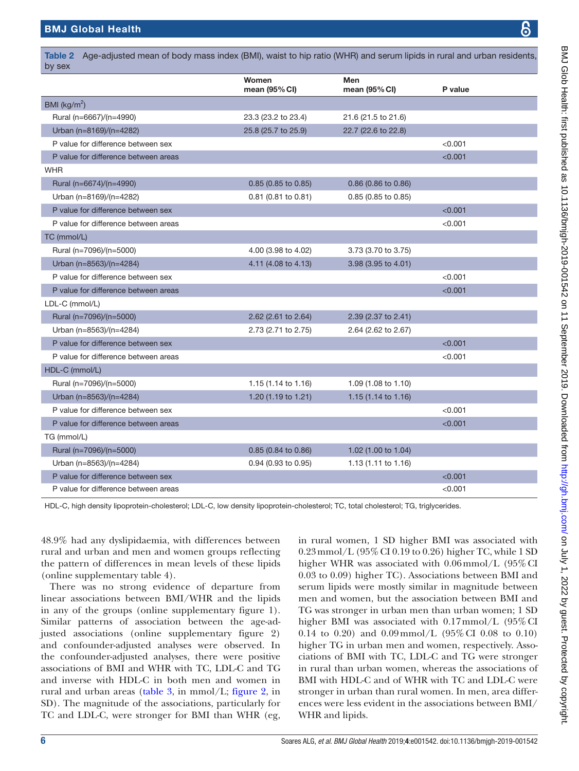by sex

| < 0.001                                              |
|------------------------------------------------------|
|                                                      |
|                                                      |
|                                                      |
|                                                      |
| < 0.001                                              |
|                                                      |
|                                                      |
|                                                      |
| < 0.001                                              |
| < 0.001                                              |
|                                                      |
|                                                      |
|                                                      |
| < 0.001                                              |
| < 0.001                                              |
|                                                      |
|                                                      |
|                                                      |
| < 0.001                                              |
| < 0.001                                              |
|                                                      |
|                                                      |
|                                                      |
| < 0.001                                              |
| < 0.001                                              |
|                                                      |
|                                                      |
|                                                      |
| < 0.001                                              |
| < 0.001                                              |
| stain elsebesterel: TO tetal elsebesterel: TO triply |

<span id="page-5-0"></span>Table 2 Age-adjusted mean of body mass index (BMI), waist to hip ratio (WHR) and serum lipids in rural and urban residents,

HDL-C, high density lipoprotein-cholesterol; LDL-C, low density lipoprotein-cholesterol; TC, total cholesterol; TG, triglycerides.

48.9% had any dyslipidaemia, with differences between rural and urban and men and women groups reflecting the pattern of differences in mean levels of these lipids ([online supplementary table 4\)](https://dx.doi.org/10.1136/bmjgh-2019-001542).

There was no strong evidence of departure from linear associations between BMI/WHR and the lipids in any of the groups ([online supplementary figure 1\)](https://dx.doi.org/10.1136/bmjgh-2019-001542). Similar patterns of association between the age-adjusted associations [\(online supplementary figure 2](https://dx.doi.org/10.1136/bmjgh-2019-001542)) and confounder-adjusted analyses were observed. In the confounder-adjusted analyses, there were positive associations of BMI and WHR with TC, LDL-C and TG and inverse with HDL-C in both men and women in rural and urban areas ([table](#page-6-0) 3, in mmol/L; [figure](#page-7-0) 2, in SD). The magnitude of the associations, particularly for TC and LDL-C, were stronger for BMI than WHR (eg, in rural women, 1 SD higher BMI was associated with 0.23mmol/L (95%CI 0.19 to 0.26) higher TC, while 1 SD higher WHR was associated with  $0.06$  mmol/L (95% CI 0.03 to 0.09) higher TC). Associations between BMI and serum lipids were mostly similar in magnitude between men and women, but the association between BMI and TG was stronger in urban men than urban women; 1 SD higher BMI was associated with 0.17mmol/L (95% CI 0.14 to 0.20) and 0.09mmol/L (95%CI 0.08 to 0.10) higher TG in urban men and women, respectively. Associations of BMI with TC, LDL-C and TG were stronger in rural than urban women, whereas the associations of BMI with HDL-C and of WHR with TC and LDL-C were stronger in urban than rural women. In men, area differences were less evident in the associations between BMI/ WHR and lipids.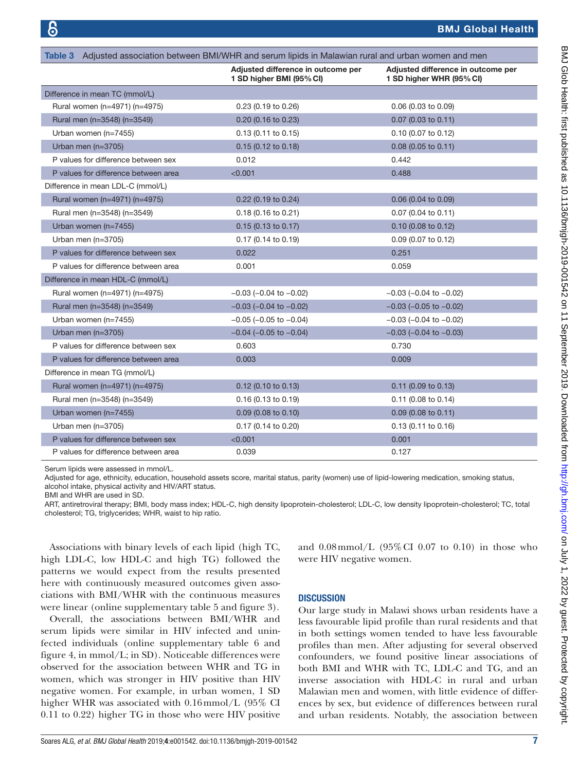<span id="page-6-0"></span>

| Table 3 Adjusted association between BMI/WHR and serum lipids in Malawian rural and urban women and men |                                                                |                                                                |  |  |  |  |
|---------------------------------------------------------------------------------------------------------|----------------------------------------------------------------|----------------------------------------------------------------|--|--|--|--|
|                                                                                                         | Adjusted difference in outcome per<br>1 SD higher BMI (95% CI) | Adjusted difference in outcome per<br>1 SD higher WHR (95% CI) |  |  |  |  |
| Difference in mean TC (mmol/L)                                                                          |                                                                |                                                                |  |  |  |  |
| Rural women (n=4971) (n=4975)                                                                           | $0.23$ (0.19 to 0.26)                                          | 0.06 (0.03 to 0.09)                                            |  |  |  |  |
| Rural men (n=3548) (n=3549)                                                                             | $0.20$ (0.16 to 0.23)                                          | $0.07$ (0.03 to 0.11)                                          |  |  |  |  |
| Urban women (n=7455)                                                                                    | $0.13$ (0.11 to 0.15)                                          | 0.10 (0.07 to 0.12)                                            |  |  |  |  |
| Urban men $(n=3705)$                                                                                    | $0.15$ (0.12 to 0.18)                                          | $0.08$ (0.05 to 0.11)                                          |  |  |  |  |
| P values for difference between sex                                                                     | 0.012                                                          | 0.442                                                          |  |  |  |  |
| P values for difference between area                                                                    | < 0.001                                                        | 0.488                                                          |  |  |  |  |
| Difference in mean LDL-C (mmol/L)                                                                       |                                                                |                                                                |  |  |  |  |
| Rural women (n=4971) (n=4975)                                                                           | $0.22$ (0.19 to 0.24)                                          | $0.06$ (0.04 to 0.09)                                          |  |  |  |  |
| Rural men (n=3548) (n=3549)                                                                             | $0.18(0.16 \text{ to } 0.21)$                                  | $0.07$ (0.04 to 0.11)                                          |  |  |  |  |
| Urban women (n=7455)                                                                                    | $0.15(0.13 \text{ to } 0.17)$                                  | 0.10 (0.08 to 0.12)                                            |  |  |  |  |
| Urban men (n=3705)                                                                                      | 0.17 (0.14 to 0.19)                                            | 0.09 (0.07 to 0.12)                                            |  |  |  |  |
| P values for difference between sex                                                                     | 0.022                                                          | 0.251                                                          |  |  |  |  |
| P values for difference between area                                                                    | 0.001                                                          | 0.059                                                          |  |  |  |  |
| Difference in mean HDL-C (mmol/L)                                                                       |                                                                |                                                                |  |  |  |  |
| Rural women (n=4971) (n=4975)                                                                           | $-0.03$ ( $-0.04$ to $-0.02$ )                                 | $-0.03$ ( $-0.04$ to $-0.02$ )                                 |  |  |  |  |
| Rural men (n=3548) (n=3549)                                                                             | $-0.03$ ( $-0.04$ to $-0.02$ )                                 | $-0.03$ ( $-0.05$ to $-0.02$ )                                 |  |  |  |  |
| Urban women (n=7455)                                                                                    | $-0.05$ ( $-0.05$ to $-0.04$ )                                 | $-0.03$ ( $-0.04$ to $-0.02$ )                                 |  |  |  |  |
| Urban men (n=3705)                                                                                      | $-0.04$ ( $-0.05$ to $-0.04$ )                                 | $-0.03$ ( $-0.04$ to $-0.03$ )                                 |  |  |  |  |
| P values for difference between sex                                                                     | 0.603                                                          | 0.730                                                          |  |  |  |  |
| P values for difference between area                                                                    | 0.003                                                          | 0.009                                                          |  |  |  |  |
| Difference in mean TG (mmol/L)                                                                          |                                                                |                                                                |  |  |  |  |
| Rural women (n=4971) (n=4975)                                                                           | 0.12 (0.10 to 0.13)                                            | $0.11$ (0.09 to 0.13)                                          |  |  |  |  |
| Rural men (n=3548) (n=3549)                                                                             | $0.16$ (0.13 to 0.19)                                          | $0.11$ (0.08 to 0.14)                                          |  |  |  |  |
| Urban women $(n=7455)$                                                                                  | $0.09$ (0.08 to 0.10)                                          | $0.09$ (0.08 to 0.11)                                          |  |  |  |  |
| Urban men (n=3705)                                                                                      | $0.17$ (0.14 to 0.20)                                          | $0.13(0.11$ to $0.16)$                                         |  |  |  |  |
| P values for difference between sex                                                                     | < 0.001                                                        | 0.001                                                          |  |  |  |  |
| P values for difference between area                                                                    | 0.039                                                          | 0.127                                                          |  |  |  |  |

Serum lipids were assessed in mmol/L.

Adjusted for age, ethnicity, education, household assets score, marital status, parity (women) use of lipid-lowering medication, smoking status, alcohol intake, physical activity and HIV/ART status.

BMI and WHR are used in SD.

ART, antiretroviral therapy; BMI, body mass index; HDL-C, high density lipoprotein-cholesterol; LDL-C, low density lipoprotein-cholesterol; TC, total cholesterol; TG, triglycerides; WHR, waist to hip ratio.

Associations with binary levels of each lipid (high TC, high LDL-C, low HDL-C and high TG) followed the patterns we would expect from the results presented here with continuously measured outcomes given associations with BMI/WHR with the continuous measures were linear [\(online supplementary table 5 and figure 3](https://dx.doi.org/10.1136/bmjgh-2019-001542)).

Overall, the associations between BMI/WHR and serum lipids were similar in HIV infected and uninfected individuals [\(online supplementary table 6 and](https://dx.doi.org/10.1136/bmjgh-2019-001542) [figure 4,](https://dx.doi.org/10.1136/bmjgh-2019-001542) in mmol/L; in SD). Noticeable differences were observed for the association between WHR and TG in women, which was stronger in HIV positive than HIV negative women. For example, in urban women, 1 SD higher WHR was associated with 0.16mmol/L (95% CI 0.11 to 0.22) higher TG in those who were HIV positive

and  $0.08$  mmol/L  $(95\%$  CI  $0.07$  to  $0.10)$  in those who were HIV negative women.

#### **DISCUSSION**

Our large study in Malawi shows urban residents have a less favourable lipid profile than rural residents and that in both settings women tended to have less favourable profiles than men. After adjusting for several observed confounders, we found positive linear associations of both BMI and WHR with TC, LDL-C and TG, and an inverse association with HDL-C in rural and urban Malawian men and women, with little evidence of differences by sex, but evidence of differences between rural and urban residents. Notably, the association between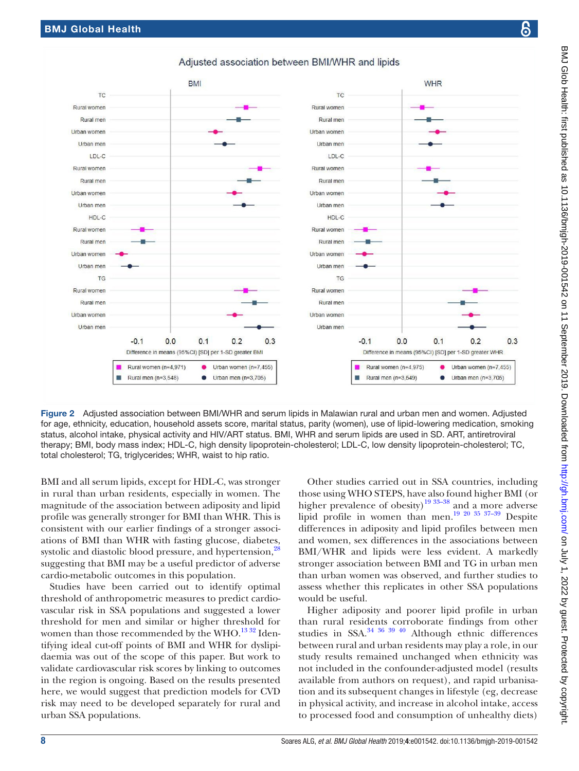

Adjusted association between BMI/WHR and lipids

<span id="page-7-0"></span>Figure 2 Adjusted association between BMI/WHR and serum lipids in Malawian rural and urban men and women. Adjusted for age, ethnicity, education, household assets score, marital status, parity (women), use of lipid-lowering medication, smoking status, alcohol intake, physical activity and HIV/ART status. BMI, WHR and serum lipids are used in SD. ART, antiretroviral therapy; BMI, body mass index; HDL-C, high density lipoprotein-cholesterol; LDL-C, low density lipoprotein-cholesterol; TC, total cholesterol; TG, triglycerides; WHR, waist to hip ratio.

BMI and all serum lipids, except for HDL-C, was stronger in rural than urban residents, especially in women. The magnitude of the association between adiposity and lipid profile was generally stronger for BMI than WHR. This is consistent with our earlier findings of a stronger associations of BMI than WHR with fasting glucose, diabetes, systolic and diastolic blood pressure, and hypertension, $\frac{28}{3}$  $\frac{28}{3}$  $\frac{28}{3}$ suggesting that BMI may be a useful predictor of adverse cardio-metabolic outcomes in this population.

Studies have been carried out to identify optimal threshold of anthropometric measures to predict cardiovascular risk in SSA populations and suggested a lower threshold for men and similar or higher threshold for women than those recommended by the WHO.<sup>[13 32](#page-9-17)</sup> Identifying ideal cut-off points of BMI and WHR for dyslipidaemia was out of the scope of this paper. But work to validate cardiovascular risk scores by linking to outcomes in the region is ongoing. Based on the results presented here, we would suggest that prediction models for CVD risk may need to be developed separately for rural and urban SSA populations.

Other studies carried out in SSA countries, including those using WHO STEPS, have also found higher BMI (or higher prevalence of obesity)<sup>19 33–38</sup> and a more adverse lipid profile in women than men[.19 20 35 37–39](#page-9-18) Despite differences in adiposity and lipid profiles between men and women, sex differences in the associations between BMI/WHR and lipids were less evident. A markedly stronger association between BMI and TG in urban men than urban women was observed, and further studies to assess whether this replicates in other SSA populations would be useful.

Higher adiposity and poorer lipid profile in urban than rural residents corroborate findings from other studies in SSA.[34 36 39 40](#page-10-3) Although ethnic differences between rural and urban residents may play a role, in our study results remained unchanged when ethnicity was not included in the confounder-adjusted model (results available from authors on request), and rapid urbanisation and its subsequent changes in lifestyle (eg, decrease in physical activity, and increase in alcohol intake, access to processed food and consumption of unhealthy diets)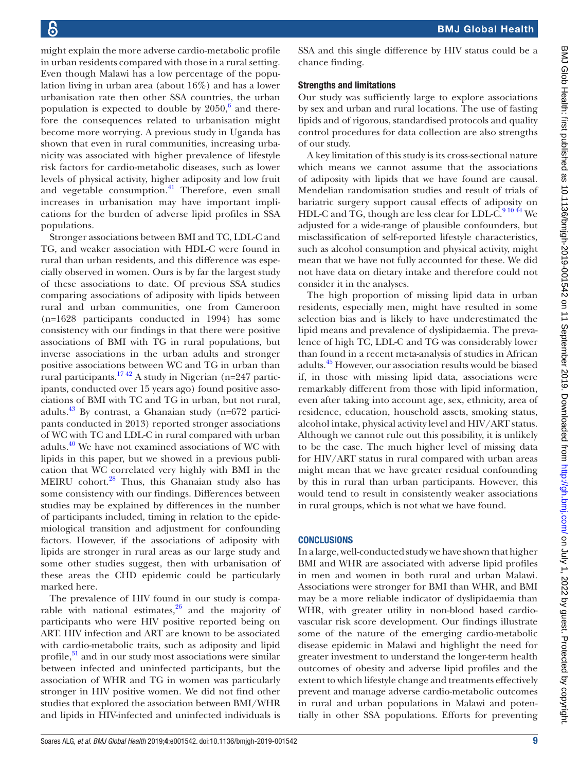might explain the more adverse cardio-metabolic profile in urban residents compared with those in a rural setting. Even though Malawi has a low percentage of the population living in urban area (about 16%) and has a lower urbanisation rate then other SSA countries, the urban population is expected to double by  $2050<sup>6</sup>$  $2050<sup>6</sup>$  $2050<sup>6</sup>$  and therefore the consequences related to urbanisation might become more worrying. A previous study in Uganda has shown that even in rural communities, increasing urbanicity was associated with higher prevalence of lifestyle risk factors for cardio-metabolic diseases, such as lower levels of physical activity, higher adiposity and low fruit and vegetable consumption.<sup>41</sup> Therefore, even small increases in urbanisation may have important implications for the burden of adverse lipid profiles in SSA populations.

Stronger associations between BMI and TC, LDL-C and TG, and weaker association with HDL-C were found in rural than urban residents, and this difference was especially observed in women. Ours is by far the largest study of these associations to date. Of previous SSA studies comparing associations of adiposity with lipids between rural and urban communities, one from Cameroon (n=1628 participants conducted in 1994) has some consistency with our findings in that there were positive associations of BMI with TG in rural populations, but inverse associations in the urban adults and stronger positive associations between WC and TG in urban than rural participants.<sup>1742</sup> A study in Nigerian (n=247 participants, conducted over 15 years ago) found positive associations of BMI with TC and TG in urban, but not rural, adults.[43](#page-10-5) By contrast, a Ghanaian study (n=672 participants conducted in 2013) reported stronger associations of WC with TC and LDL-C in rural compared with urban adults.[40](#page-10-6) We have not examined associations of WC with lipids in this paper, but we showed in a previous publication that WC correlated very highly with BMI in the MEIRU cohort.<sup>28</sup> Thus, this Ghanaian study also has some consistency with our findings. Differences between studies may be explained by differences in the number of participants included, timing in relation to the epidemiological transition and adjustment for confounding factors. However, if the associations of adiposity with lipids are stronger in rural areas as our large study and some other studies suggest, then with urbanisation of these areas the CHD epidemic could be particularly marked here.

The prevalence of HIV found in our study is comparable with national estimates, $26$  and the majority of participants who were HIV positive reported being on ART. HIV infection and ART are known to be associated with cardio-metabolic traits, such as adiposity and lipid profile,<sup>31</sup> and in our study most associations were similar between infected and uninfected participants, but the association of WHR and TG in women was particularly stronger in HIV positive women. We did not find other studies that explored the association between BMI/WHR and lipids in HIV-infected and uninfected individuals is

SSA and this single difference by HIV status could be a chance finding.

# Strengths and limitations

Our study was sufficiently large to explore associations by sex and urban and rural locations. The use of fasting lipids and of rigorous, standardised protocols and quality control procedures for data collection are also strengths of our study.

A key limitation of this study is its cross-sectional nature which means we cannot assume that the associations of adiposity with lipids that we have found are causal. Mendelian randomisation studies and result of trials of bariatric surgery support causal effects of adiposity on HDL-C and TG, though are less clear for LDL-C. $9^{1044}$  We adjusted for a wide-range of plausible confounders, but misclassification of self-reported lifestyle characteristics, such as alcohol consumption and physical activity, might mean that we have not fully accounted for these. We did not have data on dietary intake and therefore could not consider it in the analyses.

The high proportion of missing lipid data in urban residents, especially men, might have resulted in some selection bias and is likely to have underestimated the lipid means and prevalence of dyslipidaemia. The prevalence of high TC, LDL-C and TG was considerably lower than found in a recent meta-analysis of studies in African adults[.45](#page-10-7) However, our association results would be biased if, in those with missing lipid data, associations were remarkably different from those with lipid information, even after taking into account age, sex, ethnicity, area of residence, education, household assets, smoking status, alcohol intake, physical activity level and HIV/ART status. Although we cannot rule out this possibility, it is unlikely to be the case. The much higher level of missing data for HIV/ART status in rural compared with urban areas might mean that we have greater residual confounding by this in rural than urban participants. However, this would tend to result in consistently weaker associations in rural groups, which is not what we have found.

# **CONCLUSIONS**

In a large, well-conducted study we have shown that higher BMI and WHR are associated with adverse lipid profiles in men and women in both rural and urban Malawi. Associations were stronger for BMI than WHR, and BMI may be a more reliable indicator of dyslipidaemia than WHR, with greater utility in non-blood based cardiovascular risk score development. Our findings illustrate some of the nature of the emerging cardio-metabolic disease epidemic in Malawi and highlight the need for greater investment to understand the longer-term health outcomes of obesity and adverse lipid profiles and the extent to which lifestyle change and treatments effectively prevent and manage adverse cardio-metabolic outcomes in rural and urban populations in Malawi and potentially in other SSA populations. Efforts for preventing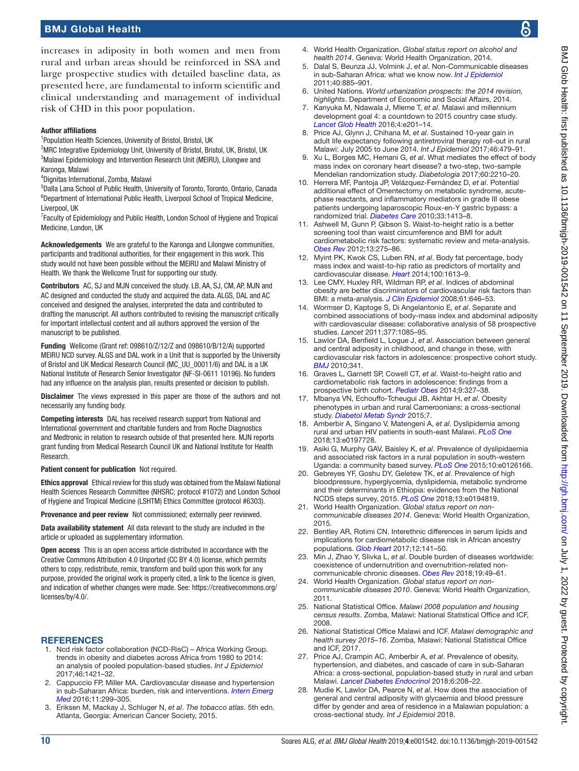increases in adiposity in both women and men from rural and urban areas should be reinforced in SSA and large prospective studies with detailed baseline data, as presented here, are fundamental to inform scientific and clinical understanding and management of individual risk of CHD in this poor population.

#### Author affiliations

<sup>1</sup>Population Health Sciences, University of Bristol, Bristol, UK

<sup>2</sup>MRC Integrative Epidemiology Unit, University of Bristol, Bristol, UK, Bristol, UK <sup>3</sup>Malawi Epidemiology and Intervention Research Unit (MEIRU), Lilongwe and Karonga, Malawi

4 Dignitas International, Zomba, Malawi

5 Dalla Lana School of Public Health, University of Toronto, Toronto, Ontario, Canada <sup>6</sup>Department of International Public Health, Liverpool School of Tropical Medicine, Liverpool, UK

<sup>7</sup> Faculty of Epidemiology and Public Health, London School of Hygiene and Tropical Medicine, London, UK

Acknowledgements We are grateful to the Karonga and Lilongwe communities, participants and traditional authorities, for their engagement in this work. This study would not have been possible without the MEIRU and Malawi Ministry of Health. We thank the Wellcome Trust for supporting our study.

Contributors AC, SJ and MJN conceived the study. LB, AA, SJ, CM, AP, MJN and AC designed and conducted the study and acquired the data. ALGS, DAL and AC conceived and designed the analyses, interpreted the data and contributed to drafting the manuscript. All authors contributed to revising the manuscript critically for important intellectual content and all authors approved the version of the manuscript to be published.

Funding Wellcome (Grant ref: 098610/Z/12/Z and 098610/B/12/A) supported MEIRU NCD survey. ALGS and DAL work in a Unit that is supported by the University of Bristol and UK Medical Research Council (MC\_UU\_00011/6) and DAL is a UK National Institute of Research Senior Investigator (NF-SI-0611 10196). No funders had any influence on the analysis plan, results presented or decision to publish.

Disclaimer The views expressed in this paper are those of the authors and not necessarily any funding body.

Competing interests DAL has received research support from National and International government and charitable funders and from Roche Diagnostics and Medtronic in relation to research outside of that presented here. MJN reports grant funding from Medical Research Council UK and National Institute for Health Research.

Patient consent for publication Not required.

Ethics approval Ethical review for this study was obtained from the Malawi National Health Sciences Research Committee (NHSRC; protocol #1072) and London School of Hygiene and Tropical Medicine (LSHTM) Ethics Committee (protocol #6303).

Provenance and peer review Not commissioned; externally peer reviewed.

Data availability statement All data relevant to the study are included in the article or uploaded as supplementary information.

Open access This is an open access article distributed in accordance with the Creative Commons Attribution 4.0 Unported (CC BY 4.0) license, which permits others to copy, redistribute, remix, transform and build upon this work for any purpose, provided the original work is properly cited, a link to the licence is given, and indication of whether changes were made. See: [https://creativecommons.org/](https://creativecommons.org/licenses/by/4.0/) [licenses/by/4.0/](https://creativecommons.org/licenses/by/4.0/).

#### **REFERENCES**

- <span id="page-9-0"></span>1. Ncd risk factor collaboration (NCD-RisC) – Africa Working Group. trends in obesity and diabetes across Africa from 1980 to 2014: an analysis of pooled population-based studies. *Int J Epidemiol* 2017;46:1421–32.
- <span id="page-9-1"></span>2. Cappuccio FP, Miller MA. Cardiovascular disease and hypertension in sub-Saharan Africa: burden, risk and interventions. *[Intern Emerg](http://dx.doi.org/10.1007/s11739-016-1423-9)  [Med](http://dx.doi.org/10.1007/s11739-016-1423-9)* 2016;11:299–305.
- 3. Eriksen M, Mackay J, Schluger N, *et al*. *The tobacco atlas*. 5th edn. Atlanta, Georgia: American Cancer Society, 2015.
- 4. World Health Organization. *Global status report on alcohol and health 2014*. Geneva: World Health Organization, 2014.
- 5. Dalal S, Beunza JJ, Volmink J, *et al*. Non-Communicable diseases in sub-Saharan Africa: what we know now. *[Int J Epidemiol](http://dx.doi.org/10.1093/ije/dyr050)* 2011;40:885–901.
- <span id="page-9-19"></span>6. United Nations. *World urbanization prospects: the 2014 revision, highlights*. Department of Economic and Social Affairs, 2014.
- <span id="page-9-2"></span>7. Kanyuka M, Ndawala J, Mleme T, *et al*. Malawi and millennium development goal 4: a countdown to 2015 country case study. *[Lancet Glob Health](http://dx.doi.org/10.1016/S2214-109X(15)00294-6)* 2016;4:e201–14.
- <span id="page-9-3"></span>8. Price AJ, Glynn J, Chihana M, *et al*. Sustained 10-year gain in adult life expectancy following antiretroviral therapy roll-out in rural Malawi: July 2005 to June 2014. *Int J Epidemiol* 2017;46:479–91.
- <span id="page-9-4"></span>9. Xu L, Borges MC, Hemani G, *et al*. What mediates the effect of body mass index on coronary heart disease? a two-step, two-sample Mendelian randomization study. *Diabetologia* 2017;60:2210–20.
- 10. Herrera MF, Pantoja JP, Velázquez-Fernández D, *et al*. Potential additional effect of Omentectomy on metabolic syndrome, acutephase reactants, and inflammatory mediators in grade III obese patients undergoing laparoscopic Roux-en-Y gastric bypass: a randomized trial. *[Diabetes Care](http://dx.doi.org/10.2337/dc09-1833)* 2010;33:1413–8.
- <span id="page-9-5"></span>11. Ashwell M, Gunn P, Gibson S. Waist-to-height ratio is a better screening tool than waist circumference and BMI for adult cardiometabolic risk factors: systematic review and meta-analysis. *[Obes Rev](http://dx.doi.org/10.1111/j.1467-789X.2011.00952.x)* 2012;13:275–86.
- <span id="page-9-6"></span>12. Myint PK, Kwok CS, Luben RN, *et al*. Body fat percentage, body mass index and waist-to-hip ratio as predictors of mortality and cardiovascular disease. *[Heart](http://dx.doi.org/10.1136/heartjnl-2014-305816)* 2014;100:1613–9.
- <span id="page-9-17"></span>13. Lee CMY, Huxley RR, Wildman RP, *et al*. Indices of abdominal obesity are better discriminators of cardiovascular risk factors than BMI: a meta-analysis. *[J Clin Epidemiol](http://dx.doi.org/10.1016/j.jclinepi.2007.08.012)* 2008;61:646–53.
- <span id="page-9-7"></span>14. Wormser D, Kaptoge S, Di Angelantonio E, *et al*. Separate and combined associations of body-mass index and abdominal adiposity with cardiovascular disease: collaborative analysis of 58 prospective studies. *Lancet* 2011;377:1085–95.
- <span id="page-9-8"></span>15. Lawlor DA, Benfield L, Logue J, *et al*. Association between general and central adiposity in childhood, and change in these, with cardiovascular risk factors in adolescence: prospective cohort study. *[BMJ](http://dx.doi.org/10.1136/bmj.c6224)* 2010;341.
- 16. Graves L, Garnett SP, Cowell CT, *et al*. Waist-to-height ratio and cardiometabolic risk factors in adolescence: findings from a prospective birth cohort. *[Pediatr Obes](http://dx.doi.org/10.1111/j.2047-6310.2013.00192.x)* 2014;9:327–38.
- <span id="page-9-9"></span>17. Mbanya VN, Echouffo-Tcheugui JB, Akhtar H, *et al*. Obesity phenotypes in urban and rural Cameroonians: a cross-sectional study. *[Diabetol Metab Syndr](http://dx.doi.org/10.1186/s13098-015-0016-5)* 2015;7.
- 18. Amberbir A, Singano V, Matengeni A, *et al*. Dyslipidemia among rural and urban HIV patients in south-east Malawi. *[PLoS One](http://dx.doi.org/10.1371/journal.pone.0197728)* 2018;13:e0197728.
- <span id="page-9-18"></span>19. Asiki G, Murphy GAV, Baisley K, *et al*. Prevalence of dyslipidaemia and associated risk factors in a rural population in south-western Uganda: a community based survey. *[PLoS One](http://dx.doi.org/10.1371/journal.pone.0126166)* 2015;10:e0126166.
- 20. Gebreyes YF, Goshu DY, Geletew TK, *et al*. Prevalence of high bloodpressure, hyperglycemia, dyslipidemia, metabolic syndrome and their determinants in Ethiopia: evidences from the National NCDS steps survey, 2015. *[PLoS One](http://dx.doi.org/10.1371/journal.pone.0194819)* 2018;13:e0194819.
- <span id="page-9-10"></span>21. World Health Organization. *Global status report on noncommunicable diseases 2014*. Geneva: World Health Organization, 2015.
- <span id="page-9-11"></span>22. Bentley AR, Rotimi CN. Interethnic differences in serum lipids and implications for cardiometabolic disease risk in African ancestry populations. *[Glob Heart](http://dx.doi.org/10.1016/j.gheart.2017.01.011)* 2017;12:141–50.
- <span id="page-9-12"></span>23. Min J, Zhao Y, Slivka L, *et al*. Double burden of diseases worldwide: coexistence of undernutrition and overnutrition-related noncommunicable chronic diseases. *[Obes Rev](http://dx.doi.org/10.1111/obr.12605)* 2018;19:49–61.
- <span id="page-9-13"></span>24. World Health Organization. *Global status report on noncommunicable diseases 2010*. Geneva: World Health Organization, 2011.
- <span id="page-9-14"></span>25. National Statistical Office. *Malawi 2008 population and housing census results*. Zomba, Malawi: National Statistical Office and ICF, 2008.
- <span id="page-9-20"></span>26. National Statistical Office Malawi and ICF. *Malawi demographic and health survey 2015–16*. Zomba, Malawi: National Statistical Office and ICF, 2017.
- <span id="page-9-15"></span>27. Price AJ, Crampin AC, Amberbir A, *et al*. Prevalence of obesity, hypertension, and diabetes, and cascade of care in sub-Saharan Africa: a cross-sectional, population-based study in rural and urban Malawi. *[Lancet Diabetes Endocrinol](http://dx.doi.org/10.1016/S2213-8587(17)30432-1)* 2018;6:208–22.
- <span id="page-9-16"></span>28. Mudie K, Lawlor DA, Pearce N, *et al*. How does the association of general and central adiposity with glycaemia and blood pressure differ by gender and area of residence in a Malawian population: a cross-sectional study. *Int J Epidemiol* 2018.